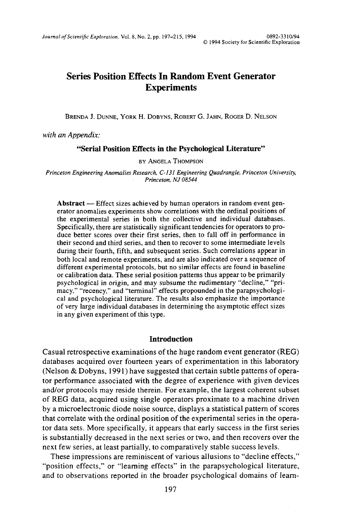# **Series Position Effects In Random Event Generator Experiments**

BRENDA J. DUNNE, YORK H. DOBYNS, ROBERT G. JAHN, ROGER D. NELSON

*with an Appendix:*

### **"Serial Position Effects in the Psychological Literature"**

BY ANGELA THOMPSON

*Princeton Engineering Anomalies Research, C-131 Engineering Quadrangle, Princeton University, Princeton, NJ 08544*

**Abstract** — Effect sizes achieved by human operators in random event generator anomalies experiments show correlations with the ordinal positions of the experimental series in both the collective and individual databases. Specifically, there are statistically significant tendencies for operators to produce better scores over their first series, then to fall off in performance in their second and third series, and then to recover to some intermediate levels during their fourth, fifth, and subsequent series. Such correlations appear in both local and remote experiments, and are also indicated over a sequence of different experimental protocols, but no similar effects are found in baseline or calibration data. These serial position patterns thus appear to be primarily psychological in origin, and may subsume the rudimentary "decline," "primacy," "recency," and "terminal" effects propounded in the parapsychological and psychological literature. The results also emphasize the importance of very large individual databases in determining the asymptotic effect sizes in any given experiment of this type.

#### **Introduction**

Casual retrospective examinations of the huge random event generator (REG) databases acquired over fourteen years of experimentation in this laboratory (Nelson & Dobyns, 1991) have suggested that certain subtle patterns of operator performance associated with the degree of experience with given devices and/or protocols may reside therein. For example, the largest coherent subset of REG data, acquired using single operators proximate to a machine driven by a microelectronic diode noise source, displays a statistical pattern of scores that correlate with the ordinal position of the experimental series in the operator data sets. More specifically, it appears that early success in the first series is substantially decreased in the next series or two, and then recovers over the next few series, at least partially, to comparatively stable success levels.

These impressions are reminiscent of various allusions to "decline effects," "position effects," or "learning effects" in the parapsychological literature, and to observations reported in the broader psychological domains of learn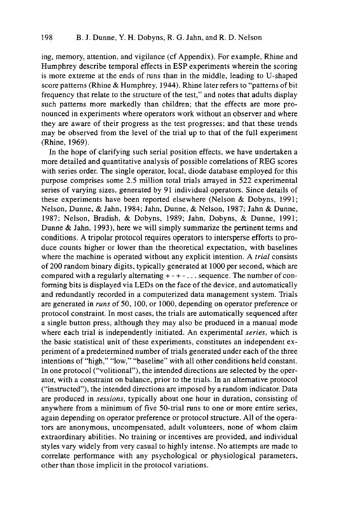ing, memory, attention, and vigilance (cf Appendix). For example, Rhine and Humphrey describe temporal effects in ESP experiments wherein the scoring is more extreme at the ends of runs than in the middle, leading to U-shaped score patterns (Rhine & Humphrey, 1944). Rhine later refers to "patterns of bit frequency that relate to the structure of the test," and notes that adults display such patterns more markedly than children; that the effects are more pronounced in experiments where operators work without an observer and where they are aware of their progress as the test progresses; and that these trends may be observed from the level of the trial up to that of the full experiment (Rhine, 1969).

In the hope of clarifying such serial position effects, we have undertaken a more detailed and quantitative analysis of possible correlations of REG scores with series order. The single operator, local, diode database employed for this purpose comprises some 2.5 million total trials arrayed in 522 experimental series of varying sizes, generated by 91 individual operators. Since details of these experiments have been reported elsewhere (Nelson & Dobyns, 1991; Nelson, Dunne, & Jahn, 1984; Jahn, Dunne, & Nelson, 1987; Jahn & Dunne, 1987; Nelson, Bradish, & Dobyns, 1989; Jahn, Dobyns, & Dunne, 1991; Dunne & Jahn, 1993), here we will simply summarize the pertinent terms and conditions. A tripolar protocol requires operators to intersperse efforts to produce counts higher or lower than the theoretical expectation, with baselines where the machine is operated without any explicit intention. A *trial* consists of 200 random binary digits, typically generated at 1000 per second, which are compared with a regularly alternating  $+ - + - \ldots$  sequence. The number of conforming bits is displayed via LEDs on the face of the device, and automatically and redundantly recorded in a computerized data management system. Trials are generated in *runs* of 50, 100, or 1000, depending on operator preference or protocol constraint. In most cases, the trials are automatically sequenced after a single button press, although they may also be produced in a manual mode where each trial is independently initiated. An experimental *series,* which is the basic statistical unit of these experiments, constitutes an independent experiment of a predetermined number of trials generated under each of the three intentions of "high," "low," "baseline" with all other conditions held constant. In one protocol ("volitional"), the intended directions are selected by the operator, with a constraint on balance, prior to the trials. In an alternative protocol ("instructed"), the intended directions are imposed by a random indicator. Data are produced in *sessions,* typically about one hour in duration, consisting of anywhere from a minimum of five 50-trial runs to one or more entire series, again depending on operator preference or protocol structure. All of the operators are anonymous, uncompensated, adult volunteers, none of whom claim extraordinary abilities. No training or incentives are provided, and individual styles vary widely from very casual to highly intense. No attempts are made to correlate performance with any psychological or physiological parameters, other than those implicit in the protocol variations.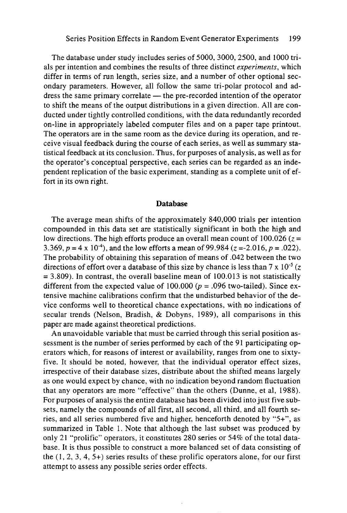The database under study includes series of 5000, 3000, 2500, and 1000 trials per intention and combines the results of three distinct *experiments,* which differ in terms of run length, series size, and a number of other optional secondary parameters. However, all follow the same tri-polar protocol and address the same primary correlate — the pre-recorded intention of the operator to shift the means of the output distributions in a given direction. All are conducted under tightly controlled conditions, with the data redundantly recorded on-line in appropriately labeled computer files and on a paper tape printout. The operators are in the same room as the device during its operation, and receive visual feedback during the course of each series, as well as summary statistical feedback at its conclusion. Thus, for purposes of analysis, as well as for the operator's conceptual perspective, each series can be regarded as an independent replication of the basic experiment, standing as a complete unit of effort in its own right.

#### **Database**

The average mean shifts of the approximately 840,000 trials per intention compounded in this data set are statistically significant in both the high and low directions. The high efforts produce an overall mean count of 100.026 *(z =* 3.369,  $p = 4 \times 10^{-4}$ , and the low efforts a mean of 99.984 ( $z = -2.016$ ,  $p = .022$ ). The probability of obtaining this separation of means of .042 between the two directions of effort over a database of this size by chance is less than  $7 \times 10^{-5}$  (z *=* 3.809). In contrast, the overall baseline mean of 100.013 is not statistically different from the expected value of 100.000 *(p =* .096 two-tailed). Since extensive machine calibrations confirm that the undisturbed behavior of the device conforms well to theoretical chance expectations, with no indications of secular trends (Nelson, Bradish, & Dobyns, 1989), all comparisons in this paper are made against theoretical predictions.

An unavoidable variable that must be carried through this serial position assessment is the number of series performed by each of the 91 participating operators which, for reasons of interest or availability, ranges from one to sixtyfive. It should be noted, however, that the individual operator effect sizes, irrespective of their database sizes, distribute about the shifted means largely as one would expect by chance, with no indication beyond random fluctuation that any operators are more "effective" than the others (Dunne, et al, 1988). For purposes of analysis the entire database has been divided into just five subsets, namely the compounds of all first, all second, all third, and all fourth series, and all series numbered five and higher, henceforth denoted by "5+", as summarized in Table 1. Note that although the last subset was produced by only 21 "prolific" operators, it constitutes 280 series or 54% of the total database. It is thus possible to construct a more balanced set of data consisting of the (1, 2, 3, 4, 5+) series results of these prolific operators alone, for our first attempt to assess any possible series order effects.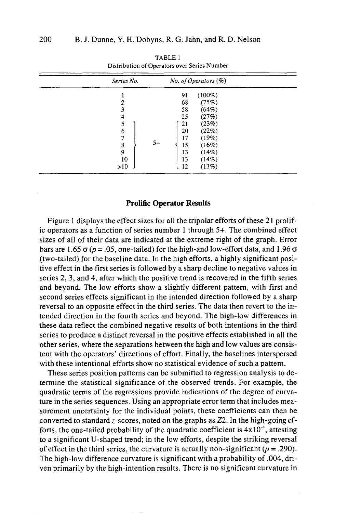| Series No. | No. of Operators $(\%)$ |  |
|------------|-------------------------|--|
|            | $(100\%)$<br>91         |  |
|            | (75%)<br>68             |  |
| 3          | (64%)<br>58             |  |
| 4          | (27%)<br>25             |  |
|            | (23%)<br>21             |  |
| 6          | (22%)<br>20             |  |
|            | (19%)<br>17             |  |
| 8          | $5+$<br>(16%)<br>15     |  |
| 9          | 13<br>(14%)             |  |
| 10         | 13<br>(14%)             |  |
| >10        | (13%)<br>12             |  |

TABLE 1 Distribution of Operators over Series Number

#### **Prolific Operator Results**

Figure 1 displays the effect sizes for all the tripolar efforts of these 21 prolific operators as a function of series number 1 through 5+. The combined effect sizes of all of their data are indicated at the extreme right of the graph. Error bars are 1.65  $\sigma$  ( $p = .05$ , one-tailed) for the high-and low-effort data, and 1.96  $\sigma$ (two-tailed) for the baseline data. In the high efforts, a highly significant positive effect in the first series is followed by a sharp decline to negative values in series 2, 3, and 4, after which the positive trend is recovered in the fifth series and beyond. The low efforts show a slightly different pattern, with first and second series effects significant in the intended direction followed by a sharp reversal to an opposite effect in the third series. The data then revert to the intended direction in the fourth series and beyond. The high-low differences in these data reflect the combined negative results of both intentions in the third series to produce a distinct reversal in the positive effects established in all the other series, where the separations between the high and low values are consistent with the operators' directions of effort. Finally, the baselines interspersed with these intentional efforts show no statistical evidence of such a pattern.

These series position patterns can be submitted to regression analysis to determine the statistical significance of the observed trends. For example, the quadratic terms of the regressions provide indications of the degree of curvature in the series sequences. Using an appropriate error term that includes measurement uncertainty for the individual points, these coefficients can then be converted to standard z-scores, noted on the graphs as Z2. In the high-going efforts, the one-tailed probability of the quadratic coefficient is  $4x10^{-4}$ , attesting to a significant U-shaped trend; in the low efforts, despite the striking reversal of effect in the third series, the curvature is actually non-significant *(p =* .290). The high-low difference curvature is significant with a probability of .004, driven primarily by the high-intention results. There is no significant curvature in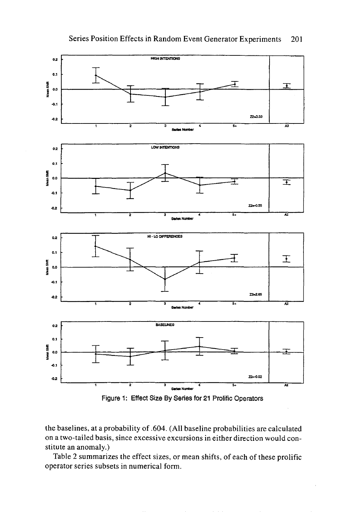# Series Position Effects in Random Event Generator Experiments 201



Figure 1: Effect Size By Series for 21 Prolific Operators

the baselines, at a probability of .604. (All baseline probabilities are calculated on a two-tailed basis, since excessive excursions in either direction would constitute an anomaly.)

Table 2 summarizes the effect sizes, or mean shifts, of each of these prolific operator series subsets in numerical form.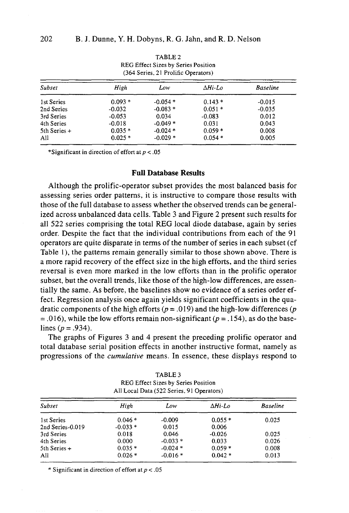|                | REG Effect Sizes by Series Position<br>(364 Series, 21 Prolific Operators) |           |                 |                 |  |
|----------------|----------------------------------------------------------------------------|-----------|-----------------|-----------------|--|
| Subset         | High                                                                       | Low       | $\Delta H$ i-Lo | <b>Baseline</b> |  |
| 1st Series     | $0.093*$                                                                   | $-0.054*$ | $0.143*$        | $-0.015$        |  |
| 2nd Series     | $-0.032$                                                                   | $-0.083*$ | $0.051*$        | $-0.035$        |  |
| 3rd Series     | $-0.053$                                                                   | 0.034     | $-0.083$        | 0.012           |  |
| 4th Series     | $-0.018$                                                                   | $-0.049*$ | 0.031           | 0.043           |  |
| $5th$ Series + | $0.035*$                                                                   | $-0.024*$ | $0.059*$        | 0.008           |  |
| All            | $0.025*$                                                                   | $-0.029*$ | $0.054*$        | 0.005           |  |

TABLE 2 REG Effect Sizes by Series Position

\*Significant in direction of effort at  $p < .05$ 

#### **Full Database Results**

Although the prolific-operator subset provides the most balanced basis for assessing series order patterns, it is instructive to compare those results with those of the full database to assess whether the observed trends can be generalized across unbalanced data cells. Table 3 and Figure 2 present such results for all 522 series comprising the total REG local diode database, again by series order. Despite the fact that the individual contributions from each of the 91 operators are quite disparate in terms of the number of series in each subset (cf Table 1), the patterns remain generally similar to those shown above. There is a more rapid recovery of the effect size in the high efforts, and the third series reversal is even more marked in the low efforts than in the prolific operator subset, but the overall trends, like those of the high-low differences, are essentially the same. As before, the baselines show no evidence of a series order effect. Regression analysis once again yields significant coefficients in the quadratic components of the high efforts *(p =* .019) and the high-low differences *(p =* .016), while the low efforts remain non-significant *(p =* .154), as do the baselines *(p =* .934).

The graphs of Figures 3 and 4 present the preceding prolific operator and total database serial position effects in another instructive format, namely as progressions of the *cumulative* means. In essence, these displays respond to

| REG Effect Sizes by Series Position<br>All Local Data (522 Series, 91 Operators) |           |           |          |                 |  |
|----------------------------------------------------------------------------------|-----------|-----------|----------|-----------------|--|
| Subset                                                                           | High      | Low       | ∆Hi-Lo   | <b>Baseline</b> |  |
| 1st Series                                                                       | $0.046*$  | $-0.009$  | $0.055*$ | 0.025           |  |
| 2nd Series-0.019                                                                 | $-0.033*$ | 0.015     | 0.006    |                 |  |
| 3rd Series                                                                       | 0.018     | 0.046     | $-0.026$ | 0.025           |  |
| 4th Series                                                                       | 0.000     | $-0.033*$ | 0.033    | 0.026           |  |
| $5th$ Series +                                                                   | $0.035*$  | $-0.024*$ | $0.059*$ | 0.008           |  |

 $-0.016*$ 

0.042 \*

0.013

TABLE 3 REG Effect Sizes by Series Position

\* Significant in direction of effort at *p <* .05

0.026 \*

All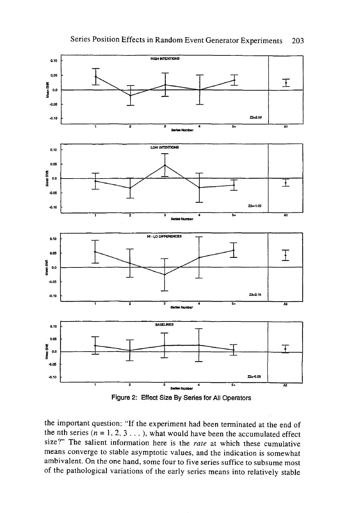



the important question: "If the experiment had been terminated at the end of the nth series  $(n = 1, 2, 3...)$ , what would have been the accumulated effect size?" The salient information here is the *rate* at which these cumulative means converge to stable asymptotic values, and the indication is somewhat ambivalent. On the one hand, some four to five series suffice to subsume most of the pathological variations of the early series means into relatively stable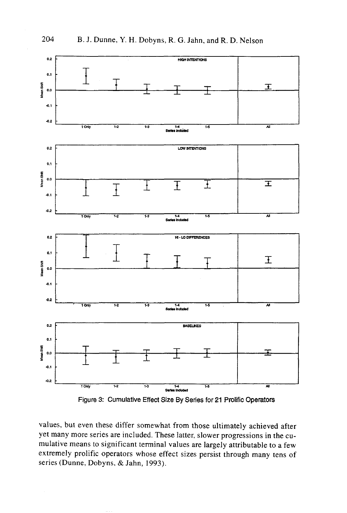



values, but even these differ somewhat from those ultimately achieved after yet many more series are included. These latter, slower progressions in the cumulative means to significant terminal values are largely attributable to a few extremely prolific operators whose effect sizes persist through many tens of series (Dunne, Dobyns, & Jahn, 1993).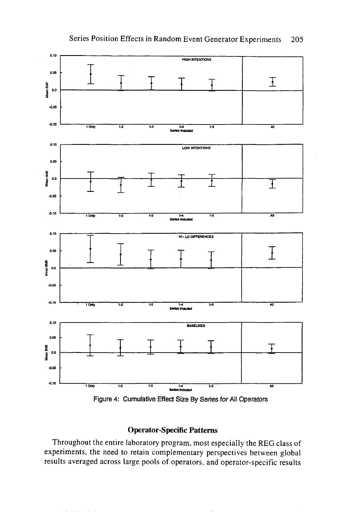

 $0.10$ 

0.05



# **Operator-Specific Patterns**

Throughout the entire laboratory program, most especially the REG class of experiments, the need to retain complementary perspectives between global results averaged across large pools of operators, and operator-specific results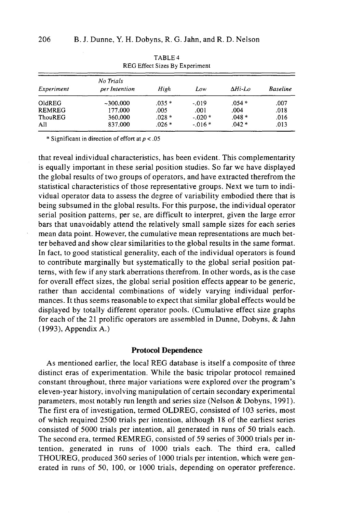|               | -------<br>REG Effect Sizes By Experiment |         |           |         |                 |  |
|---------------|-------------------------------------------|---------|-----------|---------|-----------------|--|
| Experiment    | No Trials<br>per Intention                | High    | Low       | ∆Hi-Lo  | <b>Baseline</b> |  |
| OldREG        | $-300,000$                                | $.035*$ | $-0.019$  | $.054*$ | .007            |  |
| <b>REMREG</b> | 177,000                                   | .005    | .001      | .004    | .018            |  |
| ThouREG       | 360,000                                   | $.028*$ | $-020*$   | $.048*$ | .016            |  |
| All           | 837,000                                   | $.026*$ | $-0.016*$ | $.042*$ | .013            |  |

TABLE 4

\* Significant in direction of effort at *p <* .05

that reveal individual characteristics, has been evident. This complementarity is equally important in these serial position studies. So far we have displayed the global results of two groups of operators, and have extracted therefrom the statistical characteristics of those representative groups. Next we turn to individual operator data to assess the degree of variability embodied there that is being subsumed in the global results. For this purpose, the individual operator serial position patterns, per se, are difficult to interpret, given the large error bars that unavoidably attend the relatively small sample sizes for each series mean data point. However, the cumulative mean representations are much better behaved and show clear similarities to the global results in the same format. In fact, to good statistical generality, each of the individual operators is found to contribute marginally but systematically to the global serial position patterns, with few if any stark aberrations therefrom. In other words, as is the case for overall effect sizes, the global serial position effects appear to be generic, rather than accidental combinations of widely varying individual performances. It thus seems reasonable to expect that similar global effects would be displayed by totally different operator pools. (Cumulative effect size graphs for each of the 21 prolific operators are assembled in Dunne, Dobyns, & Jahn (1993), Appendix A.)

## **Protocol Dependence**

As mentioned earlier, the local REG database is itself a composite of three distinct eras of experimentation. While the basic tripolar protocol remained constant throughout, three major variations were explored over the program's eleven-year history, involving manipulation of certain secondary experimental parameters, most notably run length and series size (Nelson & Dobyns, 1991). The first era of investigation, termed OLDREG, consisted of 103 series, most of which required 2500 trials per intention, although 18 of the earliest series consisted of 5000 trials per intention, all generated in runs of 50 trials each. The second era, termed REMREG, consisted of 59 series of 3000 trials per intention, generated in runs of 1000 trials each. The third era, called THOUREG, produced 360 series of 1000 trials per intention, which were generated in runs of 50, 100, or 1000 trials, depending on operator preference.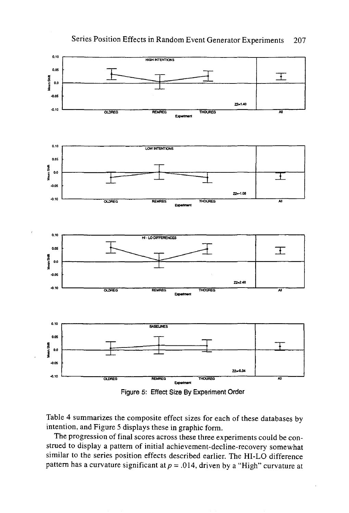



Figure 5: Effect Size By Experiment Order

Table 4 summarizes the composite effect sizes for each of these databases by intention, and Figure 5 displays these in graphic form.

The progression of final scores across these three experiments could be construed to display a pattern of initial achievement-decline-recovery somewhat similar to the series position effects described earlier. The HI-LO difference pattern has a curvature significant *at p =* .014, driven by a "High" curvature at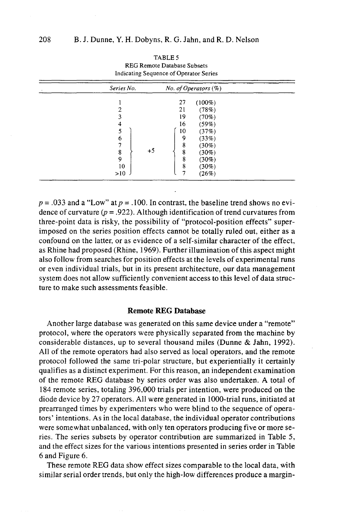| Series No. |      |    | No. of Operators (%) |  |
|------------|------|----|----------------------|--|
|            |      | 27 | $(100\%)$            |  |
|            |      | 21 | (78%)                |  |
|            |      | 19 | (70%)                |  |
| 4          |      | 16 | (59%)                |  |
|            |      | 10 | (37%)                |  |
| 6          |      | 9  | (33%)                |  |
|            |      | 8  | $(30\%)$             |  |
| 8          | $+5$ | 8  | $(30\%)$             |  |
| 9          |      | 8  | $(30\%)$             |  |
| 10         |      | 8  | $(30\%)$             |  |
| >10        |      |    | (26%)                |  |

TABLE 5 REG Remote Database Subsets Indicating Sequence of Operator Series

 $p = 0.033$  and a "Low" at  $p = 0.100$ . In contrast, the baseline trend shows no evidence of curvature *(p =* .922). Although identification of trend curvatures from three-point data is risky, the possibility of "protocol-position effects" superimposed on the series position effects cannot be totally ruled out, either as a confound on the latter, or as evidence of a self-similar character of the effect, as Rhine had proposed (Rhine, 1969). Further illumination of this aspect might also follow from searches for position effects at the levels of experimental runs or even individual trials, but in its present architecture, our data management system does not allow sufficiently convenient access to this level of data structure to make such assessments feasible.

## **Remote REG Database**

Another large database was generated on this same device under a "remote" protocol, where the operators were physically separated from the machine by considerable distances, up to several thousand miles (Dunne & Jahn, 1992). All of the remote operators had also served as local operators, and the remote protocol followed the same tri-polar structure, but experientially it certainly qualifies as a distinct experiment. For this reason, an independent examination of the remote REG database by series order was also undertaken. A total of 184 remote series, totaling 396,000 trials per intention, were produced on the diode device by 27 operators. All were generated in 1000-trial runs, initiated at prearranged times by experimenters who were blind to the sequence of operators' intentions. As in the local database, the individual operator contributions were somewhat unbalanced, with only ten operators producing five or more series. The series subsets by operator contribution are summarized in Table 5, and the effect sizes for the various intentions presented in series order in Table 6 and Figure 6.

These remote REG data show effect sizes comparable to the local data, with similar serial order trends, but only the high-low differences produce a margin-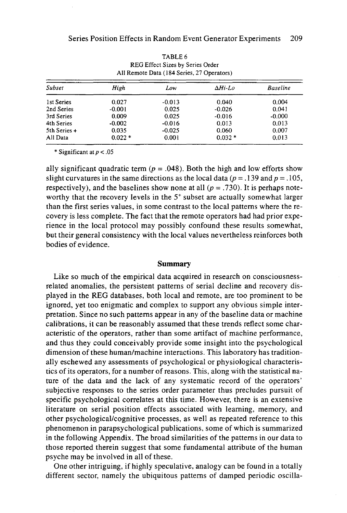| Subset         | High     | Low      | $\Delta H$ i-Lo | <b>Baseline</b> |  |
|----------------|----------|----------|-----------------|-----------------|--|
| 1st Series     | 0.027    | $-0.013$ | 0.040           | 0.004           |  |
| 2nd Series     | $-0.001$ | 0.025    | $-0.026$        | 0.041           |  |
| 3rd Series     | 0.009    | 0.025    | $-0.016$        | $-0.000$        |  |
| 4th Series     | $-0.002$ | $-0.016$ | 0.013           | 0.013           |  |
| 5th Series $+$ | 0.035    | $-0.025$ | 0.060           | 0.007           |  |
| All Data       | $0.022*$ | 0.001    | $0.032*$        | 0.013           |  |

TABLE 6 REG Effect Sizes by Series Order All Remote Data (184 Series, 27 Operators)

\* Significant at *p< .*05

ally significant quadratic term  $(p = .048)$ . Both the high and low efforts show slight curvatures in the same directions as the local data  $(p = .139$  and  $p = .105$ , respectively), and the baselines show none at all  $(p = .730)$ . It is perhaps noteworthy that the recovery levels in the 5<sup>+</sup> subset are actually somewhat larger than the first series values, in some contrast to the local patterns where the recovery is less complete. The fact that the remote operators had had prior experience in the local protocol may possibly confound these results somewhat, but their general consistency with the local values nevertheless reinforces both bodies of evidence.

#### **Summary**

Like so much of the empirical data acquired in research on consciousnessrelated anomalies, the persistent patterns of serial decline and recovery displayed in the REG databases, both local and remote, are too prominent to be ignored, yet too enigmatic and complex to support any obvious simple interpretation. Since no such patterns appear in any of the baseline data or machine calibrations, it can be reasonably assumed that these trends reflect some characteristic of the operators, rather than some artifact of machine performance, and thus they could conceivably provide some insight into the psychological dimension of these human/machine interactions. This laboratory has traditionally eschewed any assessments of psychological or physiological characteristics of its operators, for a number of reasons. This, along with the statistical nature of the data and the lack of any systematic record of the operators' subjective responses to the series order parameter thus precludes pursuit of specific psychological correlates at this time. However, there is an extensive literature on serial position effects associated with learning, memory, and other psychological/cognitive processes, as well as repeated reference to this phenomenon in parapsychological publications, some of which is summarized in the following Appendix. The broad similarities of the patterns in our data to those reported therein suggest that some fundamental attribute of the human psyche may be involved in all of these.

One other intriguing, if highly speculative, analogy can be found in a totally different sector, namely the ubiquitous patterns of damped periodic oscilla-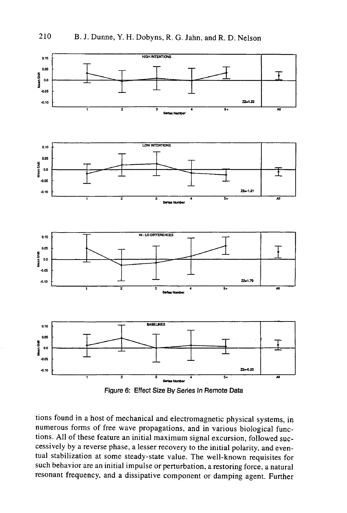



tions found in a host of mechanical and electromagnetic physical systems, in numerous forms of free wave propagations, and in various biological functions. All of these feature an initial maximum signal excursion, followed successively by a reverse phase, a lesser recovery to the initial polarity, and eventual stabilization at some steady-state value. The well-known requisites for such behavior are an initial impulse or perturbation, a restoring force, a natural resonant frequency, and a dissipative component or damping agent. Further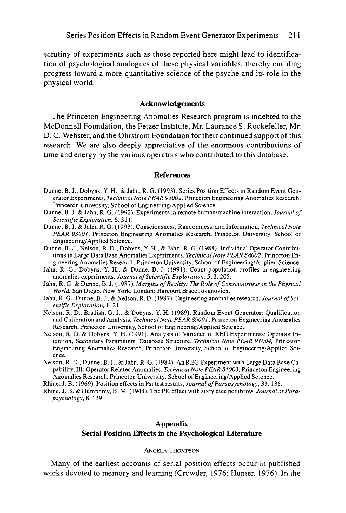scrutiny of experiments such as those reported here might lead to identification of psychological analogues of these physical variables, thereby enabling progress toward a more quantitative science of the psyche and its role in the physical world.

### **Acknowledgements**

The Princeton Engineering Anomalies Research program is indebted to the McDonnell Foundation, the Fetzer Institute, Mr. Laurance S. Rockefeller, Mr. D. C. Webster, and the Ohrstrom Foundation for their continued support of this research. We are also deeply appreciative of the enormous contributions of time and energy by the various operators who contributed to this database.

#### **References**

- Dunne, B. J., Dobyns, Y. H., & Jahn, R. G. (1993). Series Position Effects in Random Event Generator Experiments, *Technical Note PEAR 93002,* Princeton Engineering Anomalies Research, Princeton University, School of Engineering/Applied Science.
- Dunne, B. J. & Jahn, R. G. (1992). Experiments in remote human/machine interaction, *Journal of Scientific Exploration,* 6,311.
- Dunne, B. J. & Jahn, R. G. (1993). Consciousness, Randomness, and Information, *Technical Note PEAR 93001,* Princeton Engineering Anomalies Research, Princeton University, School of Engineering/Applied Science.
- Dunne, B. J., Nelson, R. D., Dobyns, Y. H., & Jahn, R. G. (1988). Individual Operator Contributions in Large Data Base Anomalies Experiments, *Technical Note PEAR 88002,* Princeton Engineering Anomalies Research, Princeton University, School of Engineering/Applied Science.
- Jahn, R. G., Dobyns, Y. H., & Dunne, B. J. (1991). Count population profiles in engineering anomalies experiments, *Journal of Scientific Exploration, 5, 2,* 205.
- Jahn, R. G. & Dunne, B. J. (1987). *Margins of Reality: The Role of Consciousness in the Physical World.* San Diego, New York, London: Harcourt Brace Jovanovich.
- Jahn, R. G., Dunne, B. J., & Nelson, R. D. (1987). Engineering anomalies research, *Journal of Scientific Exploration,* 1, 21.
- Nelson, R. D., Bradish, G. J., & Dobyns, Y. H. (1989). Random Event Generator: Qualification and Calibration and Analysis, *Technical Note PEAR 89001,* Princeton Engineering Anomalies Research, Princeton University, School of Engineering/Applied Science.
- Nelson, R. D. & Dobyns, Y. H. (1991). Analysis of Variance of REG Experiments: Operator Intention, Secondary Parameters, Database Structure, *Technical Note PEAR 91004,* Princeton Engineering Anomalies Research, Princeton University, School of Engineering/Applied Science.
- Nelson, R. D., Dunne, B. J., & Jahn, R. G. (1984). An REG Experiment with Large Data Base Capability, III: Operator Related Anomalies, *Technical Note PEAR 84003,* Princeton Engineering Anomalies Research, Princeton University, School of Engineering/Applied Science.
- Rhine, J. B. (1969). Position effects in Psi test results, *Journal of Parapsychology.* 33, 136.
- Rhine, J. B. & Humphrey, B. M. (1944). The PK effect with sixty dice per throw, *Journal of Parapsychology,* 8, 139.

### **Appendix Serial Position Effects in the Psychological Literature**

#### ANGELA THOMPSON

Many of the earliest accounts of serial position effects occur in published works devoted to memory and learning (Crowder, 1976; Hunter, 1976). In the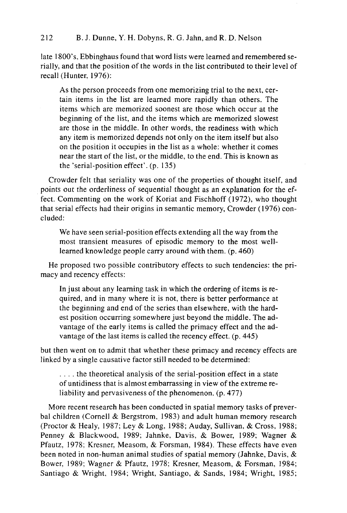# 212 B. J. Dunne, Y. H. Dobyns, R. G. Jahn, and R. D. Nelson

late 1800's, Ebbinghaus found that word lists were learned and remembered serially, and that the position of the words in the list contributed to their level of recall (Hunter, 1976):

As the person proceeds from one memorizing trial to the next, certain items in the list are learned more rapidly than others. The items which are memorized soonest are those which occur at the beginning of the list, and the items which are memorized slowest are those in the middle. In other words, the readiness with which any item is memorized depends not only on the item itself but also on the position it occupies in the list as a whole: whether it comes near the start of the list, or the middle, to the end. This is known as the 'serial-position effect', (p. 135)

Crowder felt that seriality was one of the properties of thought itself, and points out the orderliness of sequential thought as an explanation for the effect. Commenting on the work of Koriat and Fischhoff (1972), who thought that serial effects had their origins in semantic memory, Crowder (1976) concluded:

We have seen serial-position effects extending all the way from the most transient measures of episodic memory to the most welllearned knowledge people carry around with them. (p. 460)

He proposed two possible contributory effects to such tendencies: the primacy and recency effects:

In just about any learning task in which the ordering of items is required, and in many where it is not, there is better performance at the beginning and end of the series than elsewhere, with the hardest position occurring somewhere just beyond the middle. The advantage of the early items is called the primacy effect and the advantage of the last items is called the recency effect. (p. 445)

but then went on to admit that whether these primacy and recency effects are linked by a single causative factor still needed to be determined:

... . the theoretical analysis of the serial-position effect in a state of untidiness that is almost embarrassing in view of the extreme reliability and pervasiveness of the phenomenon, (p. 477)

More recent research has been conducted in spatial memory tasks of preverbal children (Cornell & Bergstrom, 1983) and adult human memory research (Proctor & Healy, 1987; Ley & Long, 1988; Auday, Sullivan, & Cross, 1988; Penney & Blackwood, 1989; Jahnke, Davis, & Bower, 1989; Wagner & Pfautz, 1978; Kresner, Measom, & Forsman, 1984). These effects have even been noted in non-human animal studies of spatial memory (Jahnke, Davis,  $\&$ Bower, 1989; Wagner & Pfautz, 1978; Kresner, Measom, & Forsman, 1984; Santiago & Wright, 1984; Wright, Santiago, & Sands, 1984; Wright, 1985;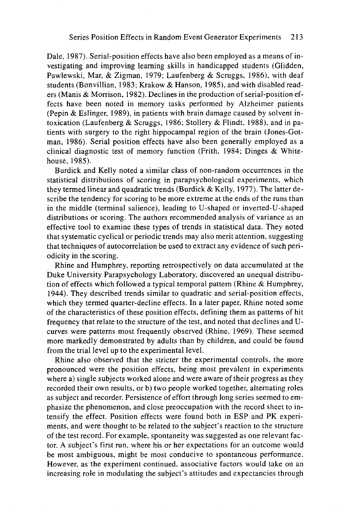Dale, 1987). Serial-position effects have also been employed as a means of investigating and improving learning skills in handicapped students (Glidden, Pawlewski, Mar, & Zigman, 1979; Laufenberg & Scruggs, 1986), with deaf students (Bonvillian, 1983; Krakow & Hanson, 1985), and with disabled readers (Manis & Morrison, 1982). Declines in the production of serial-position effects have been noted in memory tasks performed by Alzheimer patients (Pepin & Eslinger, 1989), in patients with brain damage caused by solvent intoxication (Laufenberg & Scruggs, 1986; Stollery & Flindt, 1988), and in patients with surgery to the right hippocampal region of the brain (Jones-Gotman, 1986). Serial position effects have also been generally employed as a clinical diagnostic test of memory function (Frith, 1984; Dinges & Whitehouse, 1985).

Burdick and Kelly noted a similar class of non-random occurrences in the statistical distributions of scoring in parapsychological experiments, which they termed linear and quadratic trends (Burdick & Kelly, 1977). The latter describe the tendency for scoring to be more extreme at the ends of the runs than in the middle (terminal salience), leading to U-shaped or inverted-U-shaped distributions or scoring. The authors recommended analysis of variance as an effective tool to examine these types of trends in statistical data. They noted that systematic cyclical or periodic trends may also merit attention, suggesting that techniques of autocorrelation be used to extract any evidence of such periodicity in the scoring.

Rhine and Humphrey, reporting retrospectively on data accumulated at the Duke University Parapsychology Laboratory, discovered an unequal distribution of effects which followed a typical temporal pattern (Rhine & Humphrey, 1944). They described trends similar to quadratic and serial-position effects, which they termed quarter-decline effects. In a later paper, Rhine noted some of the characteristics of these position effects, defining them as patterns of hit frequency that relate to the structure of the test, and noted that declines and Ucurves were patterns most frequently observed (Rhine, 1969). These seemed more markedly demonstrated by adults than by children, and could be found from the trial level up to the experimental level.

Rhine also observed that the stricter the experimental controls, the more pronounced were the position effects, being most prevalent in experiments where a) single subjects worked alone and were aware of their progress as they recorded their own results, or b) two people worked together, alternating roles as subject and recorder. Persistence of effort through long series seemed to emphasize the phenomenon, and close preoccupation with the record sheet to intensify the effect. Position effects were found both in ESP and PK experiments, and were thought to be related to the subject's reaction to the structure of the test record. For example, spontaneity was suggested as one relevant factor. A subject's first run, where his or her expectations for an outcome would be most ambiguous, might be most conducive to spontaneous performance. However, as the experiment continued, associative factors would take on an increasing role in modulating the subject's attitudes and expectancies through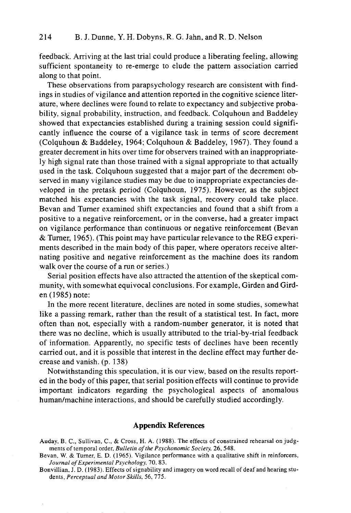feedback. Arriving at the last trial could produce a liberating feeling, allowing sufficient spontaneity to re-emerge to elude the pattern association carried along to that point.

These observations from parapsychology research are consistent with findings in studies of vigilance and attention reported in the cognitive science literature, where declines were found to relate to expectancy and subjective probability, signal probability, instruction, and feedback. Colquhoun and Baddeley showed that expectancies established during a training session could significantly influence the course of a vigilance task in terms of score decrement (Colquhoun & Baddeley, 1964; Colquhoun & Baddeley, 1967). They found a greater decrement in hits over time for observers trained with an inappropriately high signal rate than those trained with a signal appropriate to that actually used in the task. Colquhoun suggested that a major part of the decrement observed in many vigilance studies may be due to inappropriate expectancies developed in the pretask period (Colquhoun, 1975). However, as the subject matched his expectancies with the task signal, recovery could take place. Bevan and Turner examined shift expectancies and found that a shift from a positive to a negative reinforcement, or in the converse, had a greater impact on vigilance performance than continuous or negative reinforcement (Bevan & Turner, 1965). (This point may have particular relevance to the REG experiments described in the main body of this paper, where operators receive alternating positive and negative reinforcement as the machine does its random walk over the course of a run or series.)

Serial position effects have also attracted the attention of the skeptical community, with somewhat equivocal conclusions. For example, Girden and Girden (1985) note:

In the more recent literature, declines are noted in some studies, somewhat like a passing remark, rather than the result of a statistical test. In fact, more often than not, especially with a random-number generator, it is noted that there was no decline, which is usually attributed to the trial-by-trial feedback of information. Apparently, no specific tests of declines have been recently carried out, and it is possible that interest in the decline effect may further decrease and vanish. (p. 138)

Notwithstanding this speculation, it is our view, based on the results reported in the body of this paper, that serial position effects will continue to provide important indicators regarding the psychological aspects of anomalous human/machine interactions, and should be carefully studied accordingly.

## **Appendix References**

- Bevan, W. & Turner, E. D. (1965). Vigilance performance with a qualitative shift in reinforcers, *Journal of Experimental Psychology,* 70. 83.
- Bonvillian, J. D. (1983). Effects of signability and imagery on word recall of deaf and hearing students, *Perceptual and Motor Skills,* 56, 775.

Auday, B. C., Sullivan, C., & Cross, H. A. (1988). The effects of constrained rehearsal on judgments of temporal order, *Bulletin of the Psychonomic Society,* 26, 548.